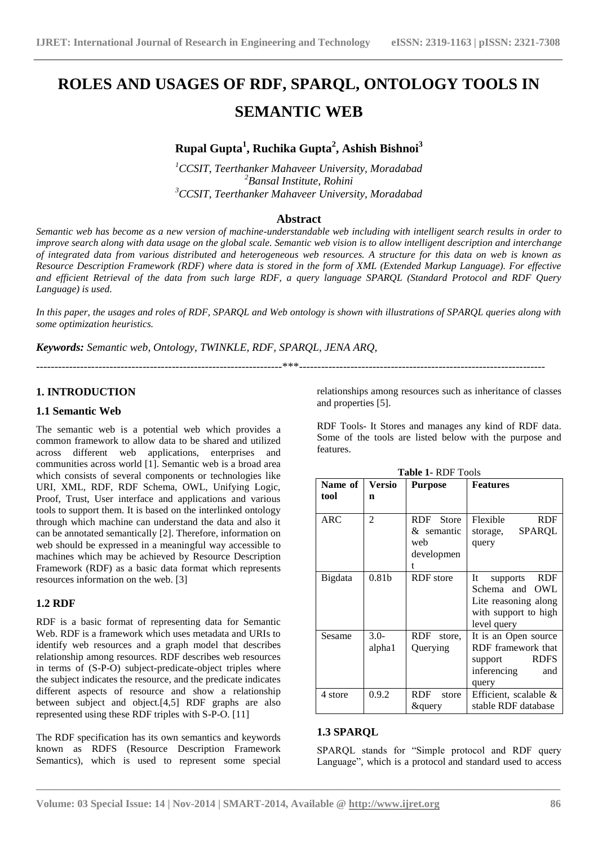# **ROLES AND USAGES OF RDF, SPARQL, ONTOLOGY TOOLS IN SEMANTIC WEB**

# **Rupal Gupta<sup>1</sup> , Ruchika Gupta<sup>2</sup> , Ashish Bishnoi<sup>3</sup>**

*<sup>1</sup>CCSIT, Teerthanker Mahaveer University, Moradabad <sup>2</sup>Bansal Institute, Rohini <sup>3</sup>CCSIT, Teerthanker Mahaveer University, Moradabad*

# **Abstract**

*Semantic web has become as a new version of machine-understandable web including with intelligent search results in order to improve search along with data usage on the global scale. Semantic web vision is to allow intelligent description and interchange of integrated data from various distributed and heterogeneous web resources. A structure for this data on web is known as Resource Description Framework (RDF) where data is stored in the form of XML (Extended Markup Language). For effective and efficient Retrieval of the data from such large RDF, a query language SPARQL (Standard Protocol and RDF Query Language) is used.*

*In this paper, the usages and roles of RDF, SPARQL and Web ontology is shown with illustrations of SPARQL queries along with some optimization heuristics.*

-------------------------------------------------------------------\*\*\*-------------------------------------------------------------------

*Keywords: Semantic web, Ontology, TWINKLE, RDF, SPARQL, JENA ARQ,*

## **1. INTRODUCTION**

#### **1.1 Semantic Web**

The semantic web is a potential web which provides a common framework to allow data to be shared and utilized across different web applications, enterprises and communities across world [1]. Semantic web is a broad area which consists of several components or technologies like URI, XML, RDF, RDF Schema, OWL, Unifying Logic, Proof, Trust, User interface and applications and various tools to support them. It is based on the interlinked ontology through which machine can understand the data and also it can be annotated semantically [2]. Therefore, information on web should be expressed in a meaningful way accessible to machines which may be achieved by Resource Description Framework (RDF) as a basic data format which represents resources information on the web. [3]

## **1.2 RDF**

RDF is a basic format of representing data for Semantic Web. RDF is a framework which uses metadata and URIs to identify web resources and a graph model that describes relationship among resources. RDF describes web resources in terms of (S-P-O) subject-predicate-object triples where the subject indicates the resource, and the predicate indicates different aspects of resource and show a relationship between subject and object.[4,5] RDF graphs are also represented using these RDF triples with S-P-O. [11]

The RDF specification has its own semantics and keywords known as RDFS (Resource Description Framework Semantics), which is used to represent some special relationships among resources such as inheritance of classes and properties [5].

RDF Tools- It Stores and manages any kind of RDF data. Some of the tools are listed below with the purpose and features.

|            |                   | <b>Table 1- RDF Tools</b> |                              |
|------------|-------------------|---------------------------|------------------------------|
| Name of    | Versio            | <b>Purpose</b>            | <b>Features</b>              |
| tool       | n                 |                           |                              |
|            |                   |                           |                              |
| <b>ARC</b> | $\mathfrak{D}$    | RDF Store                 | Flexible<br><b>RDF</b>       |
|            |                   | & semantic                | SPARQL<br>storage,           |
|            |                   | web                       | query                        |
|            |                   | developmen                |                              |
|            |                   | t                         |                              |
| Bigdata    | 0.81 <sub>b</sub> | RDF store                 | <b>RDF</b><br>It<br>supports |
|            |                   |                           | Schema and<br>OWL            |
|            |                   |                           | Lite reasoning along         |
|            |                   |                           | with support to high         |
|            |                   |                           | level query                  |
| Sesame     | $3.0-$            | RDF store,                | It is an Open source         |
|            | alpha1            | Querying                  | RDF framework that           |
|            |                   |                           | <b>RDFS</b><br>support       |
|            |                   |                           | inferencing<br>and           |
|            |                   |                           | query                        |
| 4 store    | 0.9.2             | RDF<br>store              | Efficient, scalable $\&$     |
|            |                   | <i>&amp;</i> query        | stable RDF database          |

## **1.3 SPARQL**

**\_\_\_\_\_\_\_\_\_\_\_\_\_\_\_\_\_\_\_\_\_\_\_\_\_\_\_\_\_\_\_\_\_\_\_\_\_\_\_\_\_\_\_\_\_\_\_\_\_\_\_\_\_\_\_\_\_\_\_\_\_\_\_\_\_\_\_\_\_\_\_\_\_\_\_\_\_\_\_\_\_\_\_\_\_\_\_**

SPARQL stands for "Simple protocol and RDF query Language", which is a protocol and standard used to access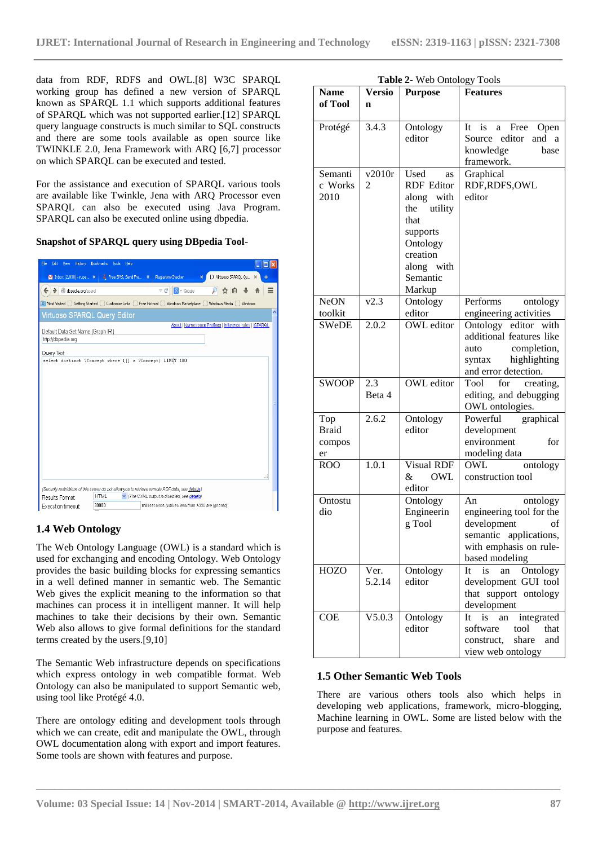data from RDF, RDFS and OWL.[8] W3C SPARQL working group has defined a new version of SPARQL known as SPARQL 1.1 which supports additional features of SPARQL which was not supported earlier.[12] SPARQL query language constructs is much similar to SQL constructs and there are some tools available as open source like TWINKLE 2.0, Jena Framework with ARQ [6,7] processor on which SPARQL can be executed and tested.

For the assistance and execution of SPARQL various tools are available like Twinkle, Jena with ARQ Processor even SPARQL can also be executed using Java Program. SPARQL can also be executed online using dbpedia.

**Snapshot of SPARQL query using DBpedia Tool**-

| History<br>File<br>Edit<br><b>View</b>                  | <b>Bookmarks</b><br>Help<br>Tools                                                                                      |                                                   |                                                        |   |
|---------------------------------------------------------|------------------------------------------------------------------------------------------------------------------------|---------------------------------------------------|--------------------------------------------------------|---|
|                                                         | M Inbox (2,038) - rupa $x \mid 2$ Free SMS, Send Fre $x$ Plagiarism Checker                                            | $\mathbf{x}$                                      | D Virtuoso SPARQL Qu  X                                |   |
| dbpedia.org/spargl<br>◆                                 |                                                                                                                        | $\mathbb{R}$ $\sim$ Google<br>$\triangledown$ $C$ | ☆<br>自                                                 | Ξ |
|                                                         | <b>2</b> Most Visited Getting Started C Customize Links C Free Hotmail C Windows Marketplace C Windows Media C Windows |                                                   |                                                        |   |
| <b>Virtuoso SPARQL Query Editor</b>                     |                                                                                                                        |                                                   |                                                        | ø |
| Default Data Set Name (Graph IRI)<br>http://dbpedia.org |                                                                                                                        |                                                   | About   Namespace Prefixes   Inference rules   ISPARQL |   |
| Query Text                                              |                                                                                                                        |                                                   |                                                        |   |
|                                                         | select distinct ?Concept where {[] a ?Concept} LIMIT 100                                                               |                                                   |                                                        |   |
|                                                         | (Security restrictions of this server do not allow you to retrieve remote RDF data, see details.)                      |                                                   |                                                        |   |
| Results Format                                          | <b>HTML</b>                                                                                                            | The CXML output is disabled, see details)         |                                                        |   |
| Execution timeout:                                      | 30000                                                                                                                  | milliseconds (values less than 1000 are ignored)  |                                                        |   |

# **1.4 Web Ontology**

The Web Ontology Language (OWL) is a standard which is used for exchanging and encoding Ontology. Web Ontology provides the basic building blocks for expressing semantics in a well defined manner in semantic web. The Semantic Web gives the explicit meaning to the information so that machines can process it in intelligent manner. It will help machines to take their decisions by their own. Semantic Web also allows to give formal definitions for the standard terms created by the users.[9,10]

The Semantic Web infrastructure depends on specifications which express ontology in web compatible format. Web Ontology can also be manipulated to support Semantic web, using tool like Protégé 4.0.

There are ontology editing and development tools through which we can create, edit and manipulate the OWL, through OWL documentation along with export and import features. Some tools are shown with features and purpose.

|  | <b>Table 2-</b> Web Ontology Tools |
|--|------------------------------------|
|  |                                    |

| <b>Name</b>  | <b>Versio</b> | <b>Purpose</b>    | <b>Features</b>               |
|--------------|---------------|-------------------|-------------------------------|
| of Tool      | $\mathbf n$   |                   |                               |
|              |               |                   |                               |
|              |               |                   |                               |
| Protégé      | 3.4.3         | Ontology          | Free<br>It<br>is<br>a<br>Open |
|              |               | editor            | Source editor<br>and<br>a a   |
|              |               |                   | knowledge<br>base             |
|              |               |                   | framework.                    |
| Semanti      | v2010r        | Used<br>as        | Graphical                     |
| c Works      | 2             | <b>RDF</b> Editor | RDF, RDFS, OWL                |
| 2010         |               | along with        | editor                        |
|              |               | the utility       |                               |
|              |               | that              |                               |
|              |               |                   |                               |
|              |               | supports          |                               |
|              |               | Ontology          |                               |
|              |               | creation          |                               |
|              |               | along with        |                               |
|              |               | Semantic          |                               |
|              |               | Markup            |                               |
| <b>NeON</b>  | v2.3          | Ontology          | Performs<br>ontology          |
| toolkit      |               | editor            | engineering activities        |
| <b>SWeDE</b> | 2.0.2         | <b>OWL</b> editor | Ontology editor with          |
|              |               |                   | additional features like      |
|              |               |                   | completion,<br>auto           |
|              |               |                   | syntax<br>highlighting        |
|              |               |                   |                               |
|              |               |                   | and error detection.          |
| <b>SWOOP</b> | 2.3           | OWL editor        | Tool<br>for<br>creating,      |
|              | Beta 4        |                   | editing, and debugging        |
|              |               |                   | OWL ontologies.               |
| Top          | 2.6.2         | Ontology          | Powerful<br>graphical         |
| <b>Braid</b> |               | editor            | development                   |
| compos       |               |                   | environment<br>for            |
| er           |               |                   | modeling data                 |
| <b>ROO</b>   | 1.0.1         | Visual RDF        | OWL<br>ontology               |
|              |               | OWL<br>&          | construction tool             |
|              |               | editor            |                               |
| Ontostu      |               | Ontology          | An                            |
|              |               |                   | ontology                      |
| dio          |               | Engineerin        | engineering tool for the      |
|              |               | g Tool            | development<br>of             |
|              |               |                   | semantic applications,        |
|              |               |                   | with emphasis on rule-        |
|              |               |                   | based modeling                |
| <b>HOZO</b>  | Ver.          | Ontology          | Ontology<br>It<br>is<br>an    |
|              | 5.2.14        | editor            | development GUI tool          |
|              |               |                   | that support ontology         |
|              |               |                   | development                   |
| <b>COE</b>   | V5.0.3        | Ontology          | integrated<br>It<br>is<br>an  |
|              |               | editor            | software<br>tool<br>that      |
|              |               |                   | construct,<br>share<br>and    |
|              |               |                   |                               |
|              |               |                   | view web ontology             |

#### **1.5 Other Semantic Web Tools**

There are various others tools also which helps in developing web applications, framework, micro-blogging, Machine learning in OWL. Some are listed below with the purpose and features.

**\_\_\_\_\_\_\_\_\_\_\_\_\_\_\_\_\_\_\_\_\_\_\_\_\_\_\_\_\_\_\_\_\_\_\_\_\_\_\_\_\_\_\_\_\_\_\_\_\_\_\_\_\_\_\_\_\_\_\_\_\_\_\_\_\_\_\_\_\_\_\_\_\_\_\_\_\_\_\_\_\_\_\_\_\_\_\_**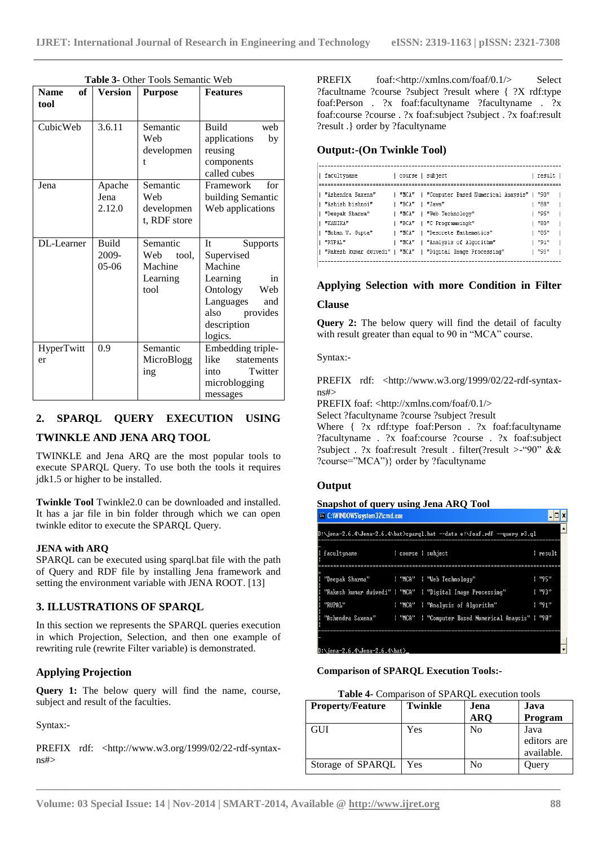| of <sub>1</sub><br><b>Name</b> | <b>Version</b>            | <b>Purpose</b>                                          | <b>Features</b>                                                                                                                                       |
|--------------------------------|---------------------------|---------------------------------------------------------|-------------------------------------------------------------------------------------------------------------------------------------------------------|
| tool                           |                           |                                                         |                                                                                                                                                       |
| CubicWeb                       | 3.6.11                    | Semantic<br>Web<br>developmen<br>t                      | Build<br>web<br>applications<br>by<br>reusing<br>components<br>called cubes                                                                           |
| Jena                           | Apache<br>Jena<br>2.12.0  | Semantic<br>Web<br>developmen<br>t, RDF store           | for<br>Framework<br>building Semantic<br>Web applications                                                                                             |
| DL-Learner                     | Build<br>2009-<br>$05-06$ | Semantic<br>Web<br>tool.<br>Machine<br>Learning<br>tool | It<br><b>Supports</b><br>Supervised<br>Machine<br>Learning<br>in<br>Ontology<br>Web<br>Languages<br>and<br>provides<br>also<br>description<br>logics. |
| HyperTwitt<br>er               | 0.9                       | Semantic<br>MicroBlogg<br>ing                           | Embedding triple-<br>like<br>statements<br>Twitter<br>into<br>microblogging<br>messages                                                               |

**Table 3-** Other Tools Semantic Web

# **2. SPARQL QUERY EXECUTION USING**

## **TWINKLE AND JENA ARQ TOOL**

TWINKLE and Jena ARQ are the most popular tools to execute SPARQL Query. To use both the tools it requires jdk1.5 or higher to be installed.

**Twinkle Tool** Twinkle2.0 can be downloaded and installed. It has a jar file in bin folder through which we can open twinkle editor to execute the SPARQL Query.

#### **JENA with ARQ**

SPARQL can be executed using sparql.bat file with the path of Query and RDF file by installing Jena framework and setting the environment variable with JENA ROOT. [13]

## **3. ILLUSTRATIONS OF SPARQL**

In this section we represents the SPARQL queries execution in which Projection, Selection, and then one example of rewriting rule (rewrite Filter variable) is demonstrated.

## **Applying Projection**

**Query 1:** The below query will find the name, course, subject and result of the faculties.

Syntax:-

PREFIX rdf: <http://www.w3.org/1999/02/22-rdf-syntaxns#>

PREFIX foaf:<http://xmlns.com/foaf/0.1/> Select ?facultname ?course ?subject ?result where { ?X rdf:type foaf:Person . ?x foaf:facultyname ?facultyname . ?x foaf:course ?course . ?x foaf:subject ?subject . ?x foaf:result ?result .} order by ?facultyname

#### **Output:-(On Twinkle Tool)**

| facultyname       |       | course   subject                                            | result |  |
|-------------------|-------|-------------------------------------------------------------|--------|--|
|                   |       |                                                             |        |  |
| "Ashendra Saxena" |       | "MCA"   "Computer Based Numerical Anavsis"   "90"           |        |  |
| "Ashish bishnoi"  | "BCA" | "Java"                                                      | "88"   |  |
| "Deepak Sharma"   |       | "MCA"   "Web Technology"                                    | "95"   |  |
| "KANIKA"          |       | "BCA"   "C Programmingk"                                    | "80"   |  |
| "Mohan V. Gupta"  | "NCA" | l "Descrete Mathematics"                                    | "85"   |  |
| "RUPAL"           |       | "MCA"   "Analysis of Algorithm"                             | "91"   |  |
|                   |       | "Rakesh kumar dwivedi"   "MCA"   "Digital Image Processing" | "93"   |  |
|                   |       |                                                             |        |  |

# **Applying Selection with more Condition in Filter Clause**

**Query 2:** The below query will find the detail of faculty with result greater than equal to 90 in "MCA" course.

Syntax:-

PREFIX rdf: <http://www.w3.org/1999/02/22-rdf-syntaxns#>

PREFIX foaf: <http://xmlns.com/foaf/0.1/>

Select ?facultyname ?course ?subject ?result

Where { ?x rdf:type foaf:Person . ?x foaf:facultyname ?facultyname . ?x foaf:course ?course . ?x foaf:subject ?subject . ?x foaf:result ?result . filter(?result >-"90" && ?course="MCA")} order by ?facultyname

## **Output**

#### **Snapshot of query using Jena ARQ Tool**

| <sup>ex</sup> C:\WINDOWS\system32\cmd.exe  |  |                                                                          |               |
|--------------------------------------------|--|--------------------------------------------------------------------------|---------------|
|                                            |  | D:\jena-2.6.4\Jena-2.6.4\bat>spargl.bat --data e:\foaf.rdf --query r3.ql |               |
| facultyname loourse lsubject               |  |                                                                          | l result      |
| "Deepak Sharma"   "MCA"   "Web Technology" |  |                                                                          | l "95"        |
|                                            |  | "Rakesh kumar dwivedi"   "MCA"   "Digital Image Processing"              | <b>1 "93"</b> |
| "RUPAL"                                    |  | : "MCA" : "Analysis of Algorithm"                                        | $1$ "91"      |
|                                            |  | "Ashendra Saxena"   "MCA"   "Computer Based Numerical Anaysis"   "90"    |               |
|                                            |  |                                                                          |               |
| D:\jena-2.6.4\Jena-2.6.4\bat>_             |  |                                                                          |               |

#### **Comparison of SPARQL Execution Tools:-**

| Table 4- Comparison of SPARQL execution tools |                |                    |                                   |
|-----------------------------------------------|----------------|--------------------|-----------------------------------|
| <b>Property/Feature</b>                       | <b>Twinkle</b> | Jena<br><b>ARQ</b> | Java<br>Program                   |
| <b>GUI</b>                                    | Yes            | No                 | Java<br>editors are<br>available. |
| Storage of SPARQL                             | Yes            | No                 | Query                             |

**\_\_\_\_\_\_\_\_\_\_\_\_\_\_\_\_\_\_\_\_\_\_\_\_\_\_\_\_\_\_\_\_\_\_\_\_\_\_\_\_\_\_\_\_\_\_\_\_\_\_\_\_\_\_\_\_\_\_\_\_\_\_\_\_\_\_\_\_\_\_\_\_\_\_\_\_\_\_\_\_\_\_\_\_\_\_\_**